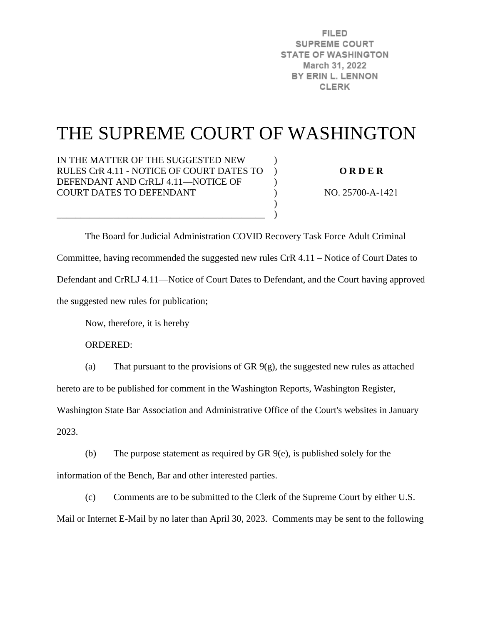**FILED SUPREME COURT STATE OF WASHINGTON** March 31, 2022 BY ERIN L. LENNON **CLERK** 

# THE SUPREME COURT OF WASHINGTON

)  $\lambda$  $\mathcal{L}$ ) )  $\lambda$ 

IN THE MATTER OF THE SUGGESTED NEW RULES CrR 4.11 - NOTICE OF COURT DATES TO DEFENDANT AND CrRLJ 4.11—NOTICE OF COURT DATES TO DEFENDANT

\_\_\_\_\_\_\_\_\_\_\_\_\_\_\_\_\_\_\_\_\_\_\_\_\_\_\_\_\_\_\_\_\_\_\_\_\_\_\_\_\_\_\_\_

**O R D E R** 

NO. 25700-A-1421

 The Board for Judicial Administration COVID Recovery Task Force Adult Criminal Committee, having recommended the suggested new rules CrR 4.11 – Notice of Court Dates to Defendant and CrRLJ 4.11—Notice of Court Dates to Defendant, and the Court having approved the suggested new rules for publication;

Now, therefore, it is hereby

ORDERED:

(a) That pursuant to the provisions of GR 9(g), the suggested new rules as attached

hereto are to be published for comment in the Washington Reports, Washington Register,

Washington State Bar Association and Administrative Office of the Court's websites in January 2023.

(b) The purpose statement as required by GR 9(e), is published solely for the information of the Bench, Bar and other interested parties.

(c) Comments are to be submitted to the Clerk of the Supreme Court by either U.S. Mail or Internet E-Mail by no later than April 30, 2023. Comments may be sent to the following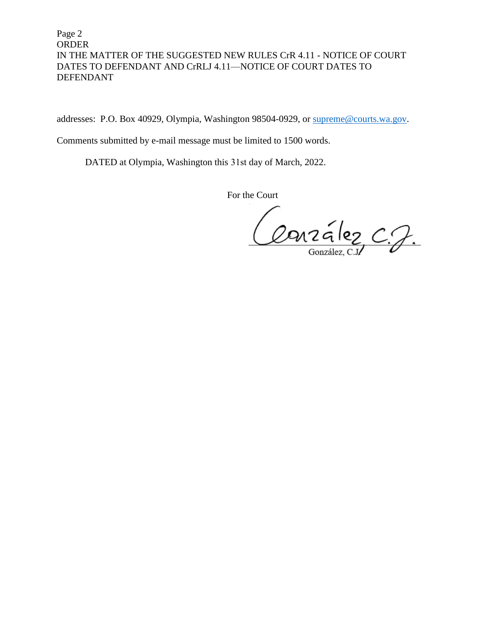Page 2 ORDER IN THE MATTER OF THE SUGGESTED NEW RULES CrR 4.11 - NOTICE OF COURT DATES TO DEFENDANT AND CrRLJ 4.11—NOTICE OF COURT DATES TO DEFENDANT

addresses: P.O. Box 40929, Olympia, Washington 98504-0929, or [supreme@courts.wa.gov.](mailto:supreme@courts.wa.gov)

Comments submitted by e-mail message must be limited to 1500 words.

DATED at Olympia, Washington this 31st day of March, 2022.

For the Court

Conzález C.J.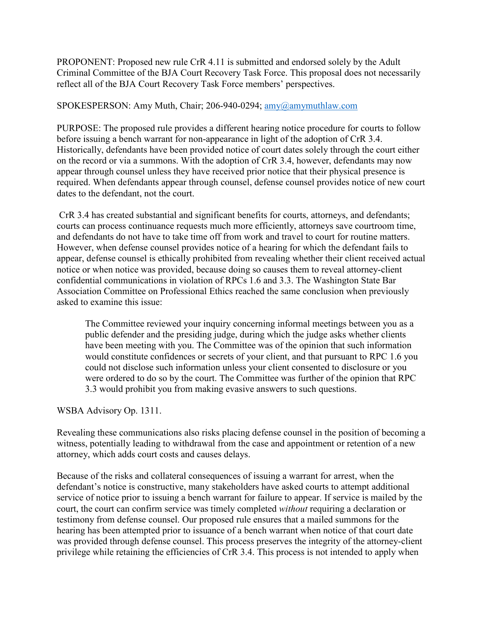PROPONENT: Proposed new rule CrR 4.11 is submitted and endorsed solely by the Adult Criminal Committee of the BJA Court Recovery Task Force. This proposal does not necessarily reflect all of the BJA Court Recovery Task Force members' perspectives.

#### SPOKESPERSON: Amy Muth, Chair; 206-940-0294; [amy@amymuthlaw.com](mailto:amy@amymuthlaw.com)

PURPOSE: The proposed rule provides a different hearing notice procedure for courts to follow before issuing a bench warrant for non-appearance in light of the adoption of CrR 3.4. Historically, defendants have been provided notice of court dates solely through the court either on the record or via a summons. With the adoption of CrR 3.4, however, defendants may now appear through counsel unless they have received prior notice that their physical presence is required. When defendants appear through counsel, defense counsel provides notice of new court dates to the defendant, not the court.

CrR 3.4 has created substantial and significant benefits for courts, attorneys, and defendants; courts can process continuance requests much more efficiently, attorneys save courtroom time, and defendants do not have to take time off from work and travel to court for routine matters. However, when defense counsel provides notice of a hearing for which the defendant fails to appear, defense counsel is ethically prohibited from revealing whether their client received actual notice or when notice was provided, because doing so causes them to reveal attorney-client confidential communications in violation of RPCs 1.6 and 3.3. The Washington State Bar Association Committee on Professional Ethics reached the same conclusion when previously asked to examine this issue:

The Committee reviewed your inquiry concerning informal meetings between you as a public defender and the presiding judge, during which the judge asks whether clients have been meeting with you. The Committee was of the opinion that such information would constitute confidences or secrets of your client, and that pursuant to RPC 1.6 you could not disclose such information unless your client consented to disclosure or you were ordered to do so by the court. The Committee was further of the opinion that RPC 3.3 would prohibit you from making evasive answers to such questions.

## WSBA Advisory Op. 1311.

Revealing these communications also risks placing defense counsel in the position of becoming a witness, potentially leading to withdrawal from the case and appointment or retention of a new attorney, which adds court costs and causes delays.

Because of the risks and collateral consequences of issuing a warrant for arrest, when the defendant's notice is constructive, many stakeholders have asked courts to attempt additional service of notice prior to issuing a bench warrant for failure to appear. If service is mailed by the court, the court can confirm service was timely completed *without* requiring a declaration or testimony from defense counsel. Our proposed rule ensures that a mailed summons for the hearing has been attempted prior to issuance of a bench warrant when notice of that court date was provided through defense counsel. This process preserves the integrity of the attorney-client privilege while retaining the efficiencies of CrR 3.4. This process is not intended to apply when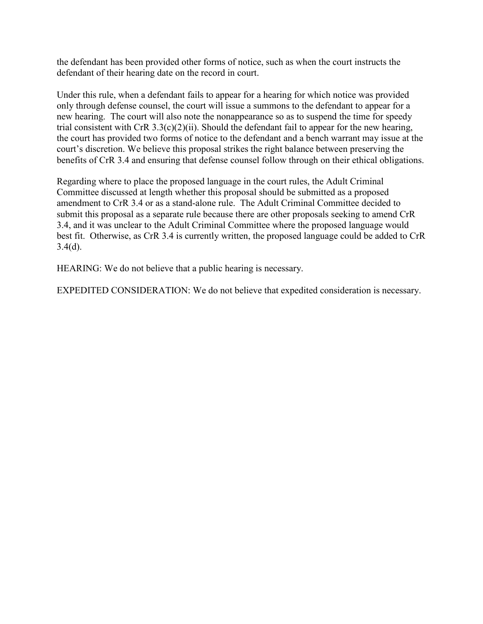the defendant has been provided other forms of notice, such as when the court instructs the defendant of their hearing date on the record in court.

Under this rule, when a defendant fails to appear for a hearing for which notice was provided only through defense counsel, the court will issue a summons to the defendant to appear for a new hearing. The court will also note the nonappearance so as to suspend the time for speedy trial consistent with CrR  $3.3(c)(2)(ii)$ . Should the defendant fail to appear for the new hearing, the court has provided two forms of notice to the defendant and a bench warrant may issue at the court's discretion. We believe this proposal strikes the right balance between preserving the benefits of CrR 3.4 and ensuring that defense counsel follow through on their ethical obligations.

Regarding where to place the proposed language in the court rules, the Adult Criminal Committee discussed at length whether this proposal should be submitted as a proposed amendment to CrR 3.4 or as a stand-alone rule. The Adult Criminal Committee decided to submit this proposal as a separate rule because there are other proposals seeking to amend CrR 3.4, and it was unclear to the Adult Criminal Committee where the proposed language would best fit. Otherwise, as CrR 3.4 is currently written, the proposed language could be added to CrR  $3.4(d)$ .

HEARING: We do not believe that a public hearing is necessary.

EXPEDITED CONSIDERATION: We do not believe that expedited consideration is necessary.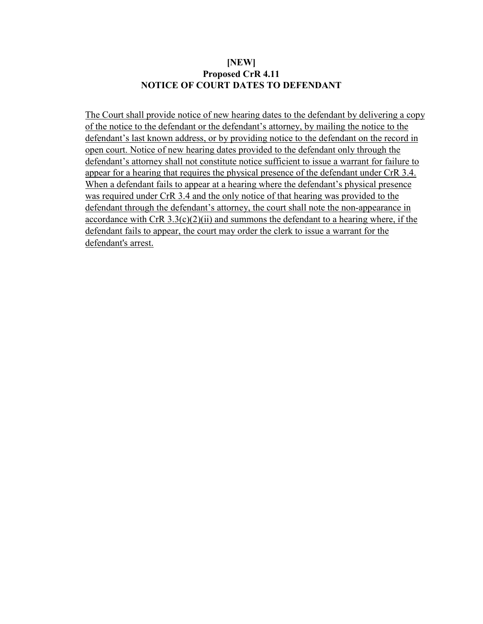#### **[NEW] Proposed CrR 4.11 NOTICE OF COURT DATES TO DEFENDANT**

The Court shall provide notice of new hearing dates to the defendant by delivering a copy of the notice to the defendant or the defendant's attorney, by mailing the notice to the defendant's last known address, or by providing notice to the defendant on the record in open court. Notice of new hearing dates provided to the defendant only through the defendant's attorney shall not constitute notice sufficient to issue a warrant for failure to appear for a hearing that requires the physical presence of the defendant under CrR 3.4. When a defendant fails to appear at a hearing where the defendant's physical presence was required under CrR 3.4 and the only notice of that hearing was provided to the defendant through the defendant's attorney, the court shall note the non-appearance in accordance with CrR  $3.3(c)(2)(ii)$  and summons the defendant to a hearing where, if the defendant fails to appear, the court may order the clerk to issue a warrant for the defendant's arrest.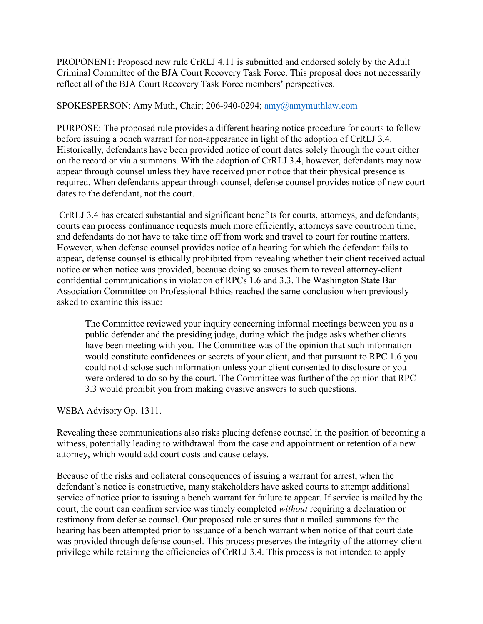PROPONENT: Proposed new rule CrRLJ 4.11 is submitted and endorsed solely by the Adult Criminal Committee of the BJA Court Recovery Task Force. This proposal does not necessarily reflect all of the BJA Court Recovery Task Force members' perspectives.

#### SPOKESPERSON: Amy Muth, Chair; 206-940-0294; [amy@amymuthlaw.com](mailto:amy@amymuthlaw.com)

PURPOSE: The proposed rule provides a different hearing notice procedure for courts to follow before issuing a bench warrant for non-appearance in light of the adoption of CrRLJ 3.4. Historically, defendants have been provided notice of court dates solely through the court either on the record or via a summons. With the adoption of CrRLJ 3.4, however, defendants may now appear through counsel unless they have received prior notice that their physical presence is required. When defendants appear through counsel, defense counsel provides notice of new court dates to the defendant, not the court.

CrRLJ 3.4 has created substantial and significant benefits for courts, attorneys, and defendants; courts can process continuance requests much more efficiently, attorneys save courtroom time, and defendants do not have to take time off from work and travel to court for routine matters. However, when defense counsel provides notice of a hearing for which the defendant fails to appear, defense counsel is ethically prohibited from revealing whether their client received actual notice or when notice was provided, because doing so causes them to reveal attorney-client confidential communications in violation of RPCs 1.6 and 3.3. The Washington State Bar Association Committee on Professional Ethics reached the same conclusion when previously asked to examine this issue:

The Committee reviewed your inquiry concerning informal meetings between you as a public defender and the presiding judge, during which the judge asks whether clients have been meeting with you. The Committee was of the opinion that such information would constitute confidences or secrets of your client, and that pursuant to RPC 1.6 you could not disclose such information unless your client consented to disclosure or you were ordered to do so by the court. The Committee was further of the opinion that RPC 3.3 would prohibit you from making evasive answers to such questions.

## WSBA Advisory Op. 1311.

Revealing these communications also risks placing defense counsel in the position of becoming a witness, potentially leading to withdrawal from the case and appointment or retention of a new attorney, which would add court costs and cause delays.

Because of the risks and collateral consequences of issuing a warrant for arrest, when the defendant's notice is constructive, many stakeholders have asked courts to attempt additional service of notice prior to issuing a bench warrant for failure to appear. If service is mailed by the court, the court can confirm service was timely completed *without* requiring a declaration or testimony from defense counsel. Our proposed rule ensures that a mailed summons for the hearing has been attempted prior to issuance of a bench warrant when notice of that court date was provided through defense counsel. This process preserves the integrity of the attorney-client privilege while retaining the efficiencies of CrRLJ 3.4. This process is not intended to apply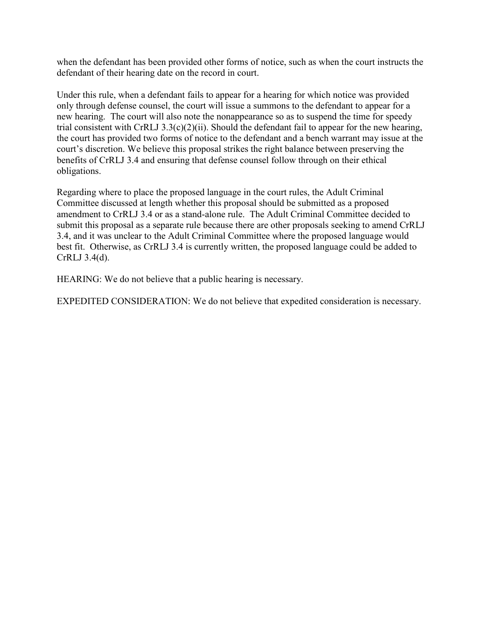when the defendant has been provided other forms of notice, such as when the court instructs the defendant of their hearing date on the record in court.

Under this rule, when a defendant fails to appear for a hearing for which notice was provided only through defense counsel, the court will issue a summons to the defendant to appear for a new hearing. The court will also note the nonappearance so as to suspend the time for speedy trial consistent with CrRLJ  $3.3(c)(2)(ii)$ . Should the defendant fail to appear for the new hearing, the court has provided two forms of notice to the defendant and a bench warrant may issue at the court's discretion. We believe this proposal strikes the right balance between preserving the benefits of CrRLJ 3.4 and ensuring that defense counsel follow through on their ethical obligations.

Regarding where to place the proposed language in the court rules, the Adult Criminal Committee discussed at length whether this proposal should be submitted as a proposed amendment to CrRLJ 3.4 or as a stand-alone rule. The Adult Criminal Committee decided to submit this proposal as a separate rule because there are other proposals seeking to amend CrRLJ 3.4, and it was unclear to the Adult Criminal Committee where the proposed language would best fit. Otherwise, as CrRLJ 3.4 is currently written, the proposed language could be added to CrRLJ 3.4(d).

HEARING: We do not believe that a public hearing is necessary.

EXPEDITED CONSIDERATION: We do not believe that expedited consideration is necessary.